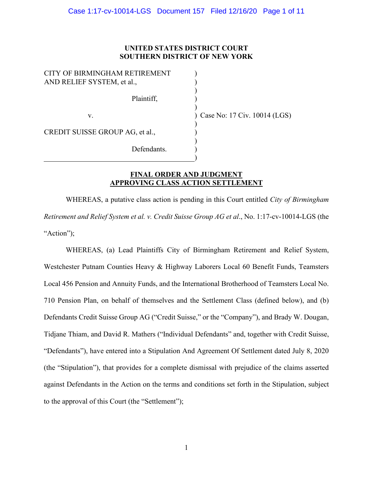# **UNITED STATES DISTRICT COURT SOUTHERN DISTRICT OF NEW YORK**

) ) ) ) )

) ) ) ) )

| CITY OF BIRMINGHAM RETIREMENT<br>AND RELIEF SYSTEM, et al., |
|-------------------------------------------------------------|
| Plaintiff,                                                  |
| $V_{\cdot}$                                                 |
| CREDIT SUISSE GROUP AG, et al.,                             |
| Defendants.                                                 |

) Case No: 17 Civ. 10014 (LGS)

# **FINAL ORDER AND JUDGMENT APPROVING CLASS ACTION SETTLEMENT**

WHEREAS, a putative class action is pending in this Court entitled *City of Birmingham Retirement and Relief System et al. v. Credit Suisse Group AG et al*., No. 1:17-cv-10014-LGS (the "Action");

WHEREAS, (a) Lead Plaintiffs City of Birmingham Retirement and Relief System, Westchester Putnam Counties Heavy & Highway Laborers Local 60 Benefit Funds, Teamsters Local 456 Pension and Annuity Funds, and the International Brotherhood of Teamsters Local No. 710 Pension Plan, on behalf of themselves and the Settlement Class (defined below), and (b) Defendants Credit Suisse Group AG ("Credit Suisse," or the "Company"), and Brady W. Dougan, Tidjane Thiam, and David R. Mathers ("Individual Defendants" and, together with Credit Suisse, "Defendants"), have entered into a Stipulation And Agreement Of Settlement dated July 8, 2020 (the "Stipulation"), that provides for a complete dismissal with prejudice of the claims asserted against Defendants in the Action on the terms and conditions set forth in the Stipulation, subject to the approval of this Court (the "Settlement");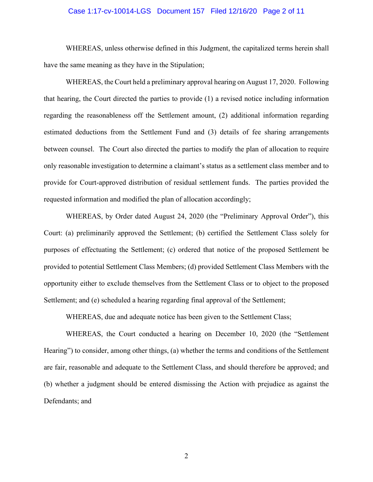# Case 1:17-cv-10014-LGS Document 157 Filed 12/16/20 Page 2 of 11

WHEREAS, unless otherwise defined in this Judgment, the capitalized terms herein shall have the same meaning as they have in the Stipulation;

WHEREAS, the Court held a preliminary approval hearing on August 17, 2020. Following that hearing, the Court directed the parties to provide (1) a revised notice including information regarding the reasonableness off the Settlement amount, (2) additional information regarding estimated deductions from the Settlement Fund and (3) details of fee sharing arrangements between counsel. The Court also directed the parties to modify the plan of allocation to require only reasonable investigation to determine a claimant's status as a settlement class member and to provide for Court-approved distribution of residual settlement funds. The parties provided the requested information and modified the plan of allocation accordingly;

WHEREAS, by Order dated August 24, 2020 (the "Preliminary Approval Order"), this Court: (a) preliminarily approved the Settlement; (b) certified the Settlement Class solely for purposes of effectuating the Settlement; (c) ordered that notice of the proposed Settlement be provided to potential Settlement Class Members; (d) provided Settlement Class Members with the opportunity either to exclude themselves from the Settlement Class or to object to the proposed Settlement; and (e) scheduled a hearing regarding final approval of the Settlement;

WHEREAS, due and adequate notice has been given to the Settlement Class;

WHEREAS, the Court conducted a hearing on December 10, 2020 (the "Settlement Hearing") to consider, among other things, (a) whether the terms and conditions of the Settlement are fair, reasonable and adequate to the Settlement Class, and should therefore be approved; and (b) whether a judgment should be entered dismissing the Action with prejudice as against the Defendants; and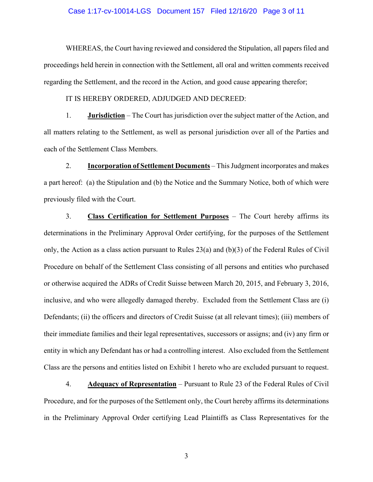#### Case 1:17-cv-10014-LGS Document 157 Filed 12/16/20 Page 3 of 11

WHEREAS, the Court having reviewed and considered the Stipulation, all papers filed and proceedings held herein in connection with the Settlement, all oral and written comments received regarding the Settlement, and the record in the Action, and good cause appearing therefor;

#### IT IS HEREBY ORDERED, ADJUDGED AND DECREED:

1. **Jurisdiction** – The Court has jurisdiction over the subject matter of the Action, and all matters relating to the Settlement, as well as personal jurisdiction over all of the Parties and each of the Settlement Class Members.

2. **Incorporation of Settlement Documents** – This Judgment incorporates and makes a part hereof: (a) the Stipulation and (b) the Notice and the Summary Notice, both of which were previously filed with the Court.

3. **Class Certification for Settlement Purposes** – The Court hereby affirms its determinations in the Preliminary Approval Order certifying, for the purposes of the Settlement only, the Action as a class action pursuant to Rules 23(a) and (b)(3) of the Federal Rules of Civil Procedure on behalf of the Settlement Class consisting of all persons and entities who purchased or otherwise acquired the ADRs of Credit Suisse between March 20, 2015, and February 3, 2016, inclusive, and who were allegedly damaged thereby. Excluded from the Settlement Class are (i) Defendants; (ii) the officers and directors of Credit Suisse (at all relevant times); (iii) members of their immediate families and their legal representatives, successors or assigns; and (iv) any firm or entity in which any Defendant has or had a controlling interest. Also excluded from the Settlement Class are the persons and entities listed on Exhibit 1 hereto who are excluded pursuant to request.

4. **Adequacy of Representation** – Pursuant to Rule 23 of the Federal Rules of Civil Procedure, and for the purposes of the Settlement only, the Court hereby affirms its determinations in the Preliminary Approval Order certifying Lead Plaintiffs as Class Representatives for the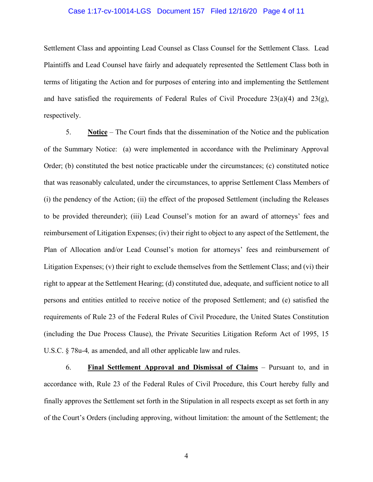# Case 1:17-cv-10014-LGS Document 157 Filed 12/16/20 Page 4 of 11

Settlement Class and appointing Lead Counsel as Class Counsel for the Settlement Class. Lead Plaintiffs and Lead Counsel have fairly and adequately represented the Settlement Class both in terms of litigating the Action and for purposes of entering into and implementing the Settlement and have satisfied the requirements of Federal Rules of Civil Procedure  $23(a)(4)$  and  $23(g)$ , respectively.

5. **Notice** – The Court finds that the dissemination of the Notice and the publication of the Summary Notice: (a) were implemented in accordance with the Preliminary Approval Order; (b) constituted the best notice practicable under the circumstances; (c) constituted notice that was reasonably calculated, under the circumstances, to apprise Settlement Class Members of (i) the pendency of the Action; (ii) the effect of the proposed Settlement (including the Releases to be provided thereunder); (iii) Lead Counsel's motion for an award of attorneys' fees and reimbursement of Litigation Expenses; (iv) their right to object to any aspect of the Settlement, the Plan of Allocation and/or Lead Counsel's motion for attorneys' fees and reimbursement of Litigation Expenses; (v) their right to exclude themselves from the Settlement Class; and (vi) their right to appear at the Settlement Hearing; (d) constituted due, adequate, and sufficient notice to all persons and entities entitled to receive notice of the proposed Settlement; and (e) satisfied the requirements of Rule 23 of the Federal Rules of Civil Procedure, the United States Constitution (including the Due Process Clause), the Private Securities Litigation Reform Act of 1995, 15 U.S.C. § 78u-4*,* as amended, and all other applicable law and rules.

6. **Final Settlement Approval and Dismissal of Claims** – Pursuant to, and in accordance with, Rule 23 of the Federal Rules of Civil Procedure, this Court hereby fully and finally approves the Settlement set forth in the Stipulation in all respects except as set forth in any of the Court's Orders (including approving, without limitation: the amount of the Settlement; the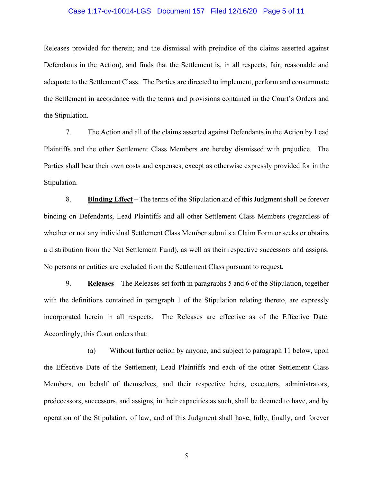# Case 1:17-cv-10014-LGS Document 157 Filed 12/16/20 Page 5 of 11

Releases provided for therein; and the dismissal with prejudice of the claims asserted against Defendants in the Action), and finds that the Settlement is, in all respects, fair, reasonable and adequate to the Settlement Class. The Parties are directed to implement, perform and consummate the Settlement in accordance with the terms and provisions contained in the Court's Orders and the Stipulation.

7. The Action and all of the claims asserted against Defendants in the Action by Lead Plaintiffs and the other Settlement Class Members are hereby dismissed with prejudice. The Parties shall bear their own costs and expenses, except as otherwise expressly provided for in the Stipulation.

8. **Binding Effect** – The terms of the Stipulation and of this Judgment shall be forever binding on Defendants, Lead Plaintiffs and all other Settlement Class Members (regardless of whether or not any individual Settlement Class Member submits a Claim Form or seeks or obtains a distribution from the Net Settlement Fund), as well as their respective successors and assigns. No persons or entities are excluded from the Settlement Class pursuant to request.

9. **Releases** – The Releases set forth in paragraphs 5 and 6 of the Stipulation, together with the definitions contained in paragraph 1 of the Stipulation relating thereto, are expressly incorporated herein in all respects. The Releases are effective as of the Effective Date. Accordingly, this Court orders that:

(a) Without further action by anyone, and subject to paragraph 11 below, upon the Effective Date of the Settlement, Lead Plaintiffs and each of the other Settlement Class Members, on behalf of themselves, and their respective heirs, executors, administrators, predecessors, successors, and assigns, in their capacities as such, shall be deemed to have, and by operation of the Stipulation, of law, and of this Judgment shall have, fully, finally, and forever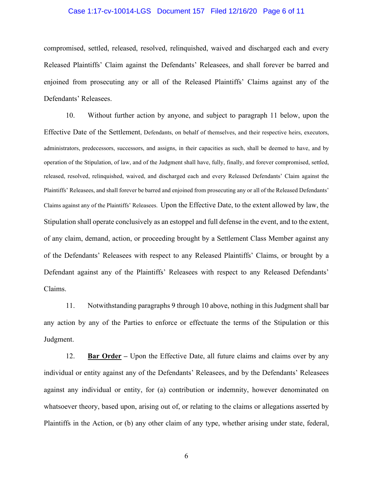# Case 1:17-cv-10014-LGS Document 157 Filed 12/16/20 Page 6 of 11

compromised, settled, released, resolved, relinquished, waived and discharged each and every Released Plaintiffs' Claim against the Defendants' Releasees, and shall forever be barred and enjoined from prosecuting any or all of the Released Plaintiffs' Claims against any of the Defendants' Releasees.

10. Without further action by anyone, and subject to paragraph 11 below, upon the Effective Date of the Settlement, Defendants, on behalf of themselves, and their respective heirs, executors, administrators, predecessors, successors, and assigns, in their capacities as such, shall be deemed to have, and by operation of the Stipulation, of law, and of the Judgment shall have, fully, finally, and forever compromised, settled, released, resolved, relinquished, waived, and discharged each and every Released Defendants' Claim against the Plaintiffs' Releasees, and shall forever be barred and enjoined from prosecuting any or all of the Released Defendants' Claims against any of the Plaintiffs' Releasees. Upon the Effective Date, to the extent allowed by law, the Stipulation shall operate conclusively as an estoppel and full defense in the event, and to the extent, of any claim, demand, action, or proceeding brought by a Settlement Class Member against any of the Defendants' Releasees with respect to any Released Plaintiffs' Claims, or brought by a Defendant against any of the Plaintiffs' Releasees with respect to any Released Defendants' Claims.

11. Notwithstanding paragraphs 9 through 10 above, nothing in this Judgment shall bar any action by any of the Parties to enforce or effectuate the terms of the Stipulation or this Judgment.

12. **Bar Order –** Upon the Effective Date, all future claims and claims over by any individual or entity against any of the Defendants' Releasees, and by the Defendants' Releasees against any individual or entity, for (a) contribution or indemnity, however denominated on whatsoever theory, based upon, arising out of, or relating to the claims or allegations asserted by Plaintiffs in the Action, or (b) any other claim of any type, whether arising under state, federal,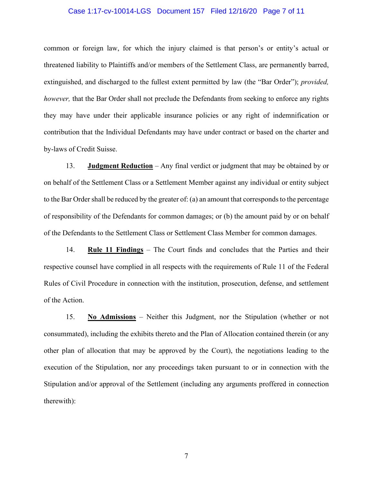# Case 1:17-cv-10014-LGS Document 157 Filed 12/16/20 Page 7 of 11

common or foreign law, for which the injury claimed is that person's or entity's actual or threatened liability to Plaintiffs and/or members of the Settlement Class, are permanently barred, extinguished, and discharged to the fullest extent permitted by law (the "Bar Order"); *provided, however*, that the Bar Order shall not preclude the Defendants from seeking to enforce any rights they may have under their applicable insurance policies or any right of indemnification or contribution that the Individual Defendants may have under contract or based on the charter and by-laws of Credit Suisse.

13. **Judgment Reduction** – Any final verdict or judgment that may be obtained by or on behalf of the Settlement Class or a Settlement Member against any individual or entity subject to the Bar Order shall be reduced by the greater of: (a) an amount that corresponds to the percentage of responsibility of the Defendants for common damages; or (b) the amount paid by or on behalf of the Defendants to the Settlement Class or Settlement Class Member for common damages.

14. **Rule 11 Findings** – The Court finds and concludes that the Parties and their respective counsel have complied in all respects with the requirements of Rule 11 of the Federal Rules of Civil Procedure in connection with the institution, prosecution, defense, and settlement of the Action.

15. **No Admissions** – Neither this Judgment, nor the Stipulation (whether or not consummated), including the exhibits thereto and the Plan of Allocation contained therein (or any other plan of allocation that may be approved by the Court), the negotiations leading to the execution of the Stipulation, nor any proceedings taken pursuant to or in connection with the Stipulation and/or approval of the Settlement (including any arguments proffered in connection therewith):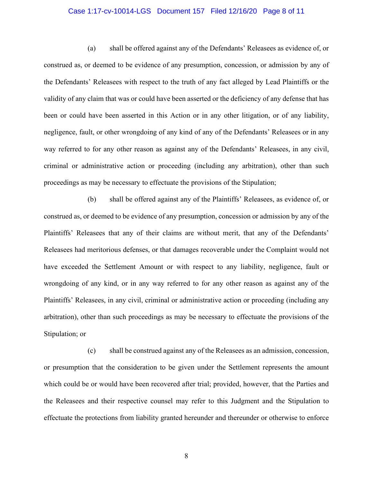# Case 1:17-cv-10014-LGS Document 157 Filed 12/16/20 Page 8 of 11

(a) shall be offered against any of the Defendants' Releasees as evidence of, or construed as, or deemed to be evidence of any presumption, concession, or admission by any of the Defendants' Releasees with respect to the truth of any fact alleged by Lead Plaintiffs or the validity of any claim that was or could have been asserted or the deficiency of any defense that has been or could have been asserted in this Action or in any other litigation, or of any liability, negligence, fault, or other wrongdoing of any kind of any of the Defendants' Releasees or in any way referred to for any other reason as against any of the Defendants' Releasees, in any civil, criminal or administrative action or proceeding (including any arbitration), other than such proceedings as may be necessary to effectuate the provisions of the Stipulation;

(b) shall be offered against any of the Plaintiffs' Releasees, as evidence of, or construed as, or deemed to be evidence of any presumption, concession or admission by any of the Plaintiffs' Releasees that any of their claims are without merit, that any of the Defendants' Releasees had meritorious defenses, or that damages recoverable under the Complaint would not have exceeded the Settlement Amount or with respect to any liability, negligence, fault or wrongdoing of any kind, or in any way referred to for any other reason as against any of the Plaintiffs' Releasees, in any civil, criminal or administrative action or proceeding (including any arbitration), other than such proceedings as may be necessary to effectuate the provisions of the Stipulation; or

(c) shall be construed against any of the Releasees as an admission, concession, or presumption that the consideration to be given under the Settlement represents the amount which could be or would have been recovered after trial; provided, however, that the Parties and the Releasees and their respective counsel may refer to this Judgment and the Stipulation to effectuate the protections from liability granted hereunder and thereunder or otherwise to enforce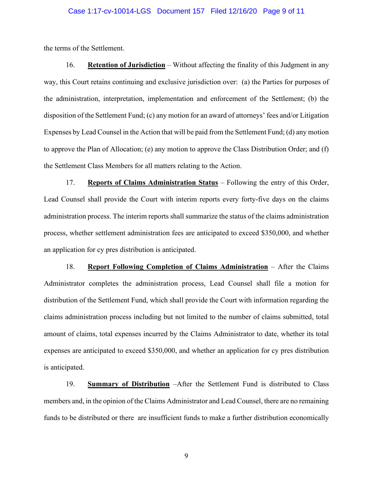### Case 1:17-cv-10014-LGS Document 157 Filed 12/16/20 Page 9 of 11

the terms of the Settlement.

16. **Retention of Jurisdiction** – Without affecting the finality of this Judgment in any way, this Court retains continuing and exclusive jurisdiction over: (a) the Parties for purposes of the administration, interpretation, implementation and enforcement of the Settlement; (b) the disposition of the Settlement Fund; (c) any motion for an award of attorneys' fees and/or Litigation Expenses by Lead Counsel in the Action that will be paid from the Settlement Fund; (d) any motion to approve the Plan of Allocation; (e) any motion to approve the Class Distribution Order; and (f) the Settlement Class Members for all matters relating to the Action.

17. **Reports of Claims Administration Status** – Following the entry of this Order, Lead Counsel shall provide the Court with interim reports every forty-five days on the claims administration process. The interim reports shall summarize the status of the claims administration process, whether settlement administration fees are anticipated to exceed \$350,000, and whether an application for cy pres distribution is anticipated.

18. **Report Following Completion of Claims Administration** – After the Claims Administrator completes the administration process, Lead Counsel shall file a motion for distribution of the Settlement Fund, which shall provide the Court with information regarding the claims administration process including but not limited to the number of claims submitted, total amount of claims, total expenses incurred by the Claims Administrator to date, whether its total expenses are anticipated to exceed \$350,000, and whether an application for cy pres distribution is anticipated.

19. **Summary of Distribution** –After the Settlement Fund is distributed to Class members and, in the opinion of the Claims Administrator and Lead Counsel, there are no remaining funds to be distributed or there are insufficient funds to make a further distribution economically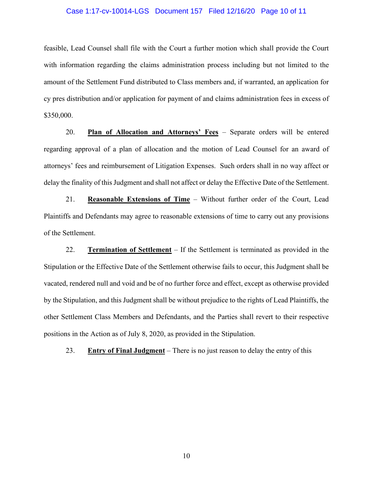#### Case 1:17-cv-10014-LGS Document 157 Filed 12/16/20 Page 10 of 11

feasible, Lead Counsel shall file with the Court a further motion which shall provide the Court with information regarding the claims administration process including but not limited to the amount of the Settlement Fund distributed to Class members and, if warranted, an application for cy pres distribution and/or application for payment of and claims administration fees in excess of \$350,000.

20. **Plan of Allocation and Attorneys' Fees** – Separate orders will be entered regarding approval of a plan of allocation and the motion of Lead Counsel for an award of attorneys' fees and reimbursement of Litigation Expenses. Such orders shall in no way affect or delay the finality of this Judgment and shall not affect or delay the Effective Date of the Settlement.

21. **Reasonable Extensions of Time** – Without further order of the Court, Lead Plaintiffs and Defendants may agree to reasonable extensions of time to carry out any provisions of the Settlement.

22. **Termination of Settlement** – If the Settlement is terminated as provided in the Stipulation or the Effective Date of the Settlement otherwise fails to occur, this Judgment shall be vacated, rendered null and void and be of no further force and effect, except as otherwise provided by the Stipulation, and this Judgment shall be without prejudice to the rights of Lead Plaintiffs, the other Settlement Class Members and Defendants, and the Parties shall revert to their respective positions in the Action as of July 8, 2020, as provided in the Stipulation.

23. **Entry of Final Judgment** – There is no just reason to delay the entry of this